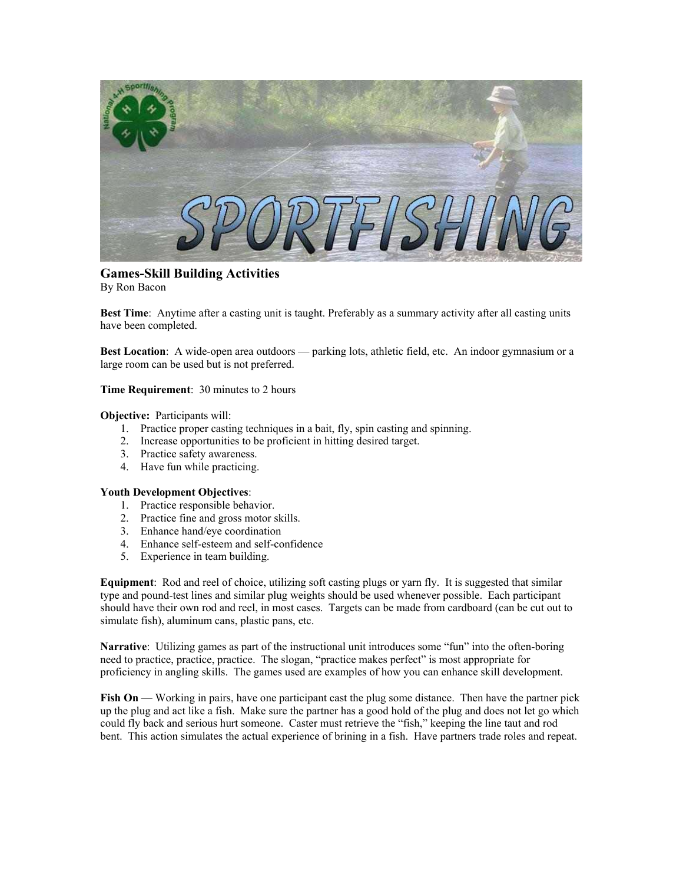

**Games-Skill Building Activities**  By Ron Bacon

**Best Time**: Anytime after a casting unit is taught. Preferably as a summary activity after all casting units have been completed.

**Best Location**: A wide-open area outdoors — parking lots, athletic field, etc. An indoor gymnasium or a large room can be used but is not preferred.

**Time Requirement**: 30 minutes to 2 hours

**Objective:** Participants will:

- 1. Practice proper casting techniques in a bait, fly, spin casting and spinning.
- 2. Increase opportunities to be proficient in hitting desired target.
- 3. Practice safety awareness.
- 4. Have fun while practicing.

## **Youth Development Objectives**:

- 1. Practice responsible behavior.
- 2. Practice fine and gross motor skills.
- 3. Enhance hand/eye coordination
- 4. Enhance self-esteem and self-confidence
- 5. Experience in team building.

**Equipment**: Rod and reel of choice, utilizing soft casting plugs or yarn fly. It is suggested that similar type and pound-test lines and similar plug weights should be used whenever possible. Each participant should have their own rod and reel, in most cases. Targets can be made from cardboard (can be cut out to simulate fish), aluminum cans, plastic pans, etc.

**Narrative**: Utilizing games as part of the instructional unit introduces some "fun" into the often-boring need to practice, practice, practice. The slogan, "practice makes perfect" is most appropriate for proficiency in angling skills. The games used are examples of how you can enhance skill development.

**Fish On** — Working in pairs, have one participant cast the plug some distance. Then have the partner pick up the plug and act like a fish. Make sure the partner has a good hold of the plug and does not let go which could fly back and serious hurt someone. Caster must retrieve the "fish," keeping the line taut and rod bent. This action simulates the actual experience of brining in a fish. Have partners trade roles and repeat.